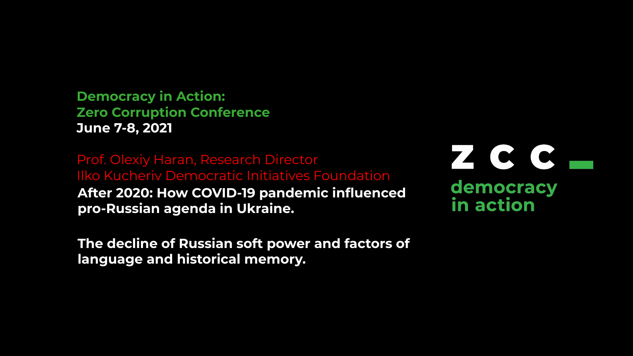**Democracy in Action: Zero Corruption Conference June 7-8, 2021**

Prof. Olexiy Haran, Research Director Ilko Kucheriv Democratic Initiatives Foundation **After 2020: How COVID-19 pandemic influenced pro-Russian agenda in Ukraine.** 

**The decline of Russian soft power and factors of language and historical memory.**

ZCC democracy in action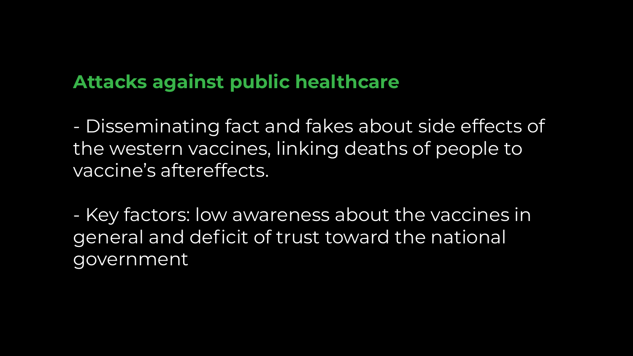# **Attacks against public healthcare**

- Disseminating fact and fakes about side effects of the western vaccines, linking deaths of people to vaccine's aftereffects.

- Key factors: low awareness about the vaccines in general and deficit of trust toward the national government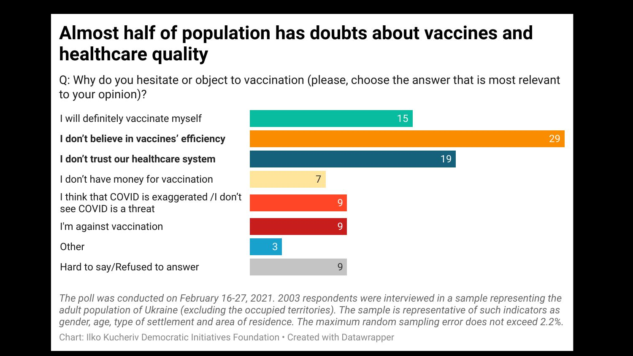# Almost half of population has doubts about vaccines and healthcare quality

Q: Why do you hesitate or object to vaccination (please, choose the answer that is most relevant<br>to your opinion)?

**I** will definitely vaccinate myself  $\overline{\phantom{a}}$  sees  $\overline{\phantom{a}}$  sees that  $\overline{\phantom{a}}$  is renewed independence as an opportunity of its renewed independence as an opportunity of its renewed in  $\overline{\phantom{a}}$ **ndon't believe in vaccines' efficiency** and Ukraine in the post Soviet space but Soviet space but Soviet space but Soviet space but Soviet space but Soviet space but Soviet space but Soviet space but Soviet space but Sovi also in a global geopolitical geopolitical context. Democracy in Action: Zero Corruption: Zero Corruption: Zero Corruption: Zero Corruption: Zero Corruption: Zero Corruption: Zero Corruption: Zero Corruption: Zero Corrupti conference is an annual international platform gathering participants from different participants from different from different participants from different participants from different participants from different participan continents including high-profile speakers, prominent civil society activists, and investigative that COVID is exaggerated /i don't see COVID is a threat. g **Dear speakers/moderators, arrange the text as above**  $\alpha$  **as above**  $\alpha$ Hard to say/Refused to answer 9 **Use our brand Montserrat font (select from the font menu here)** 

The poll was conducted on February 16-27, 2021. 2003 respondents were interviewed in a sample representing the adult population of Ukraine (excluding the occupied territories). The sample is representative of such indicators as gender, age, type of settlement and area of residence. The maximum random sampling error does not exceed 2.2%.

Chart: Ilko Kucheriv Democratic Initiatives Foundation • Created with Datawrapper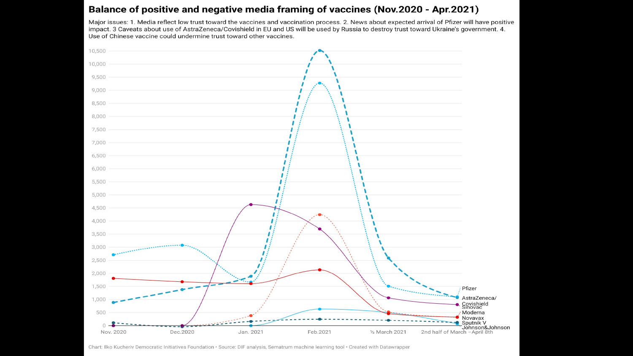#### Balance of positive and negative media framing of vaccines (Nov.2020 - Apr.2021)

Major issues: 1. Media reflect low trust toward the vaccines and vaccination process. 2. News about expected arrival of Pfizer will have positive impact. 3 Caveats about use of AstraZeneca/Covishield in EU and US will be used by Russia to destroy trust toward Ukraine's government. 4. Use of Chinese vaccine could undermine trust toward other vaccines.



Chart: Ilko Kucheriv Democratic Initiatives Foundation · Source: DIF analysis, Sematrum machine learning tool · Created with Datawrapper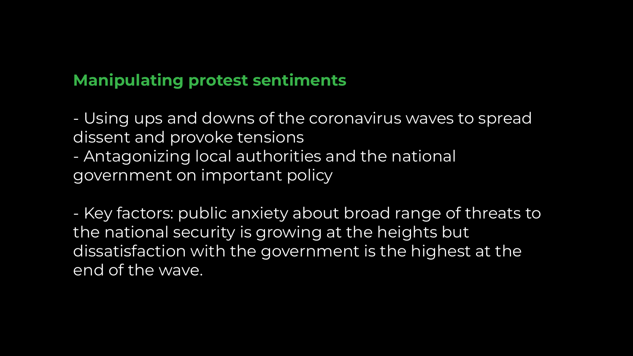# **Manipulating protest sentiments**

- Using ups and downs of the coronavirus waves to spread dissent and provoke tensions
- Antagonizing local authorities and the national government on important policy

- Key factors: public anxiety about broad range of threats to the national security is growing at the heights but dissatisfaction with the government is the highest at the end of the wave.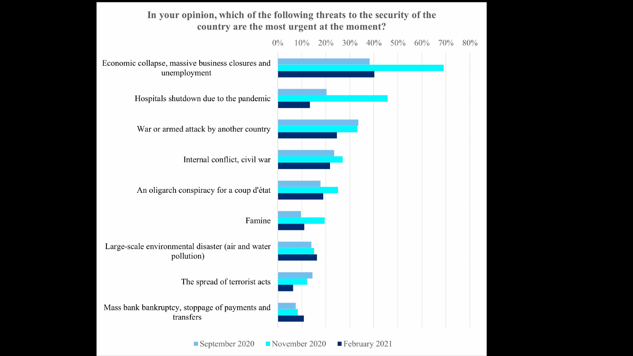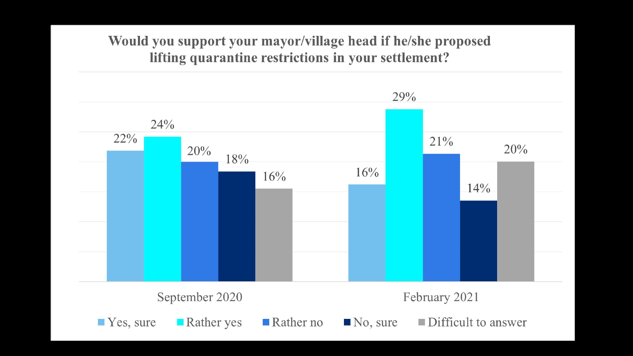### Would you support your mayor/village head if he/she proposed lifting quarantine restrictions in your settlement?

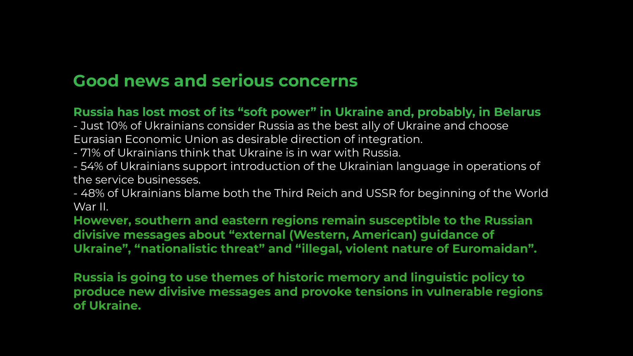## **Good news and serious concerns**

#### **Russia has lost most of its "soft power" in Ukraine and, probably, in Belarus**

- Just 10% of Ukrainians consider Russia as the best ally of Ukraine and choose Eurasian Economic Union as desirable direction of integration.

- 71% of Ukrainians think that Ukraine is in war with Russia.

- 54% of Ukrainians support introduction of the Ukrainian language in operations of the service businesses.

- 48% of Ukrainians blame both the Third Reich and USSR for beginning of the World War II.

**However, southern and eastern regions remain susceptible to the Russian divisive messages about "external (Western, American) guidance of Ukraine", "nationalistic threat" and "illegal, violent nature of Euromaidan".**

**Russia is going to use themes of historic memory and linguistic policy to produce new divisive messages and provoke tensions in vulnerable regions of Ukraine.**